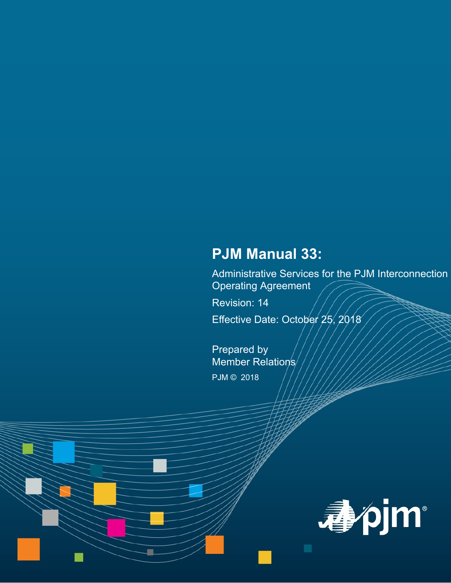# **PJM Manual 33:**

Administrative Services for the PJM Interconnection Operating Agreement

Revision: 14

Effective Date: October 25, 2018

Prepared by Member Relation's/ PJM © 2018

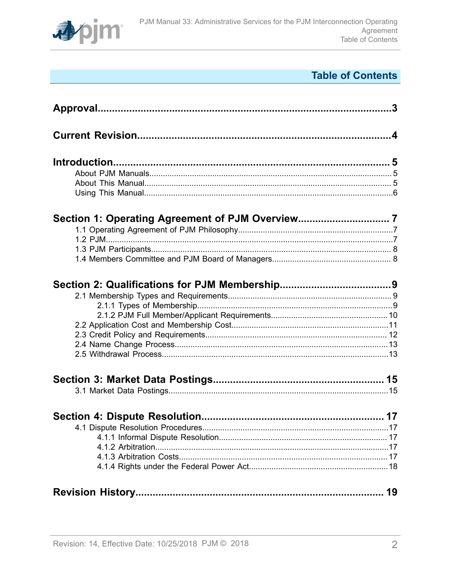

# **Table of Contents**

| 19 |
|----|
|    |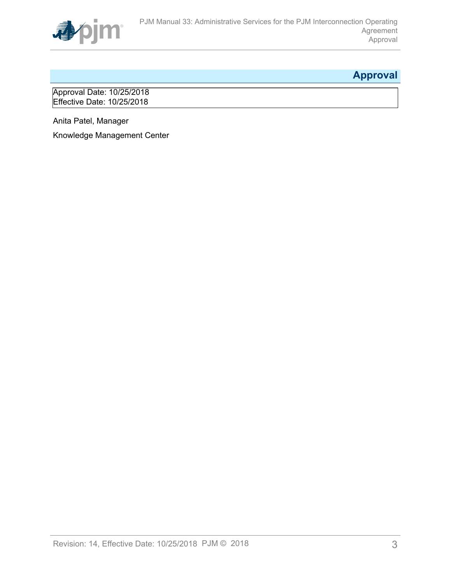

# <span id="page-2-0"></span>**Approval**

Approval Date: 10/25/2018 Effective Date: 10/25/2018

Anita Patel, Manager

Knowledge Management Center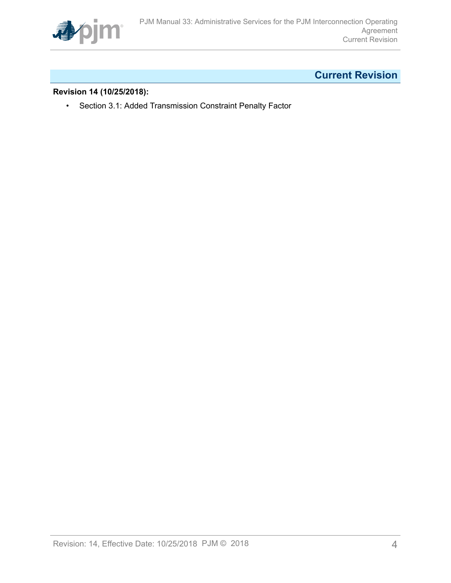

# <span id="page-3-0"></span>**Current Revision**

### **Revision 14 (10/25/2018):**

• Section 3.1: Added Transmission Constraint Penalty Factor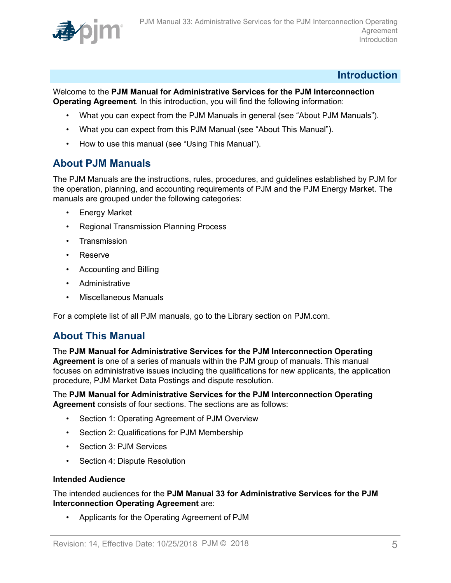

### <span id="page-4-0"></span>**Introduction**

Welcome to the **PJM Manual for Administrative Services for the PJM Interconnection Operating Agreement**. In this introduction, you will find the following information:

- What you can expect from the PJM Manuals in general (see "About PJM Manuals").
- What you can expect from this PJM Manual (see "About This Manual").
- How to use this manual (see "Using This Manual").

## <span id="page-4-1"></span>**About PJM Manuals**

The PJM Manuals are the instructions, rules, procedures, and guidelines established by PJM for the operation, planning, and accounting requirements of PJM and the PJM Energy Market. The manuals are grouped under the following categories:

- **Energy Market**
- Regional Transmission Planning Process
- Transmission
- Reserve
- Accounting and Billing
- Administrative
- Miscellaneous Manuals

For a complete list of all PJM manuals, go to the Library section on PJM.com.

## <span id="page-4-2"></span>**About This Manual**

The **PJM Manual for Administrative Services for the PJM Interconnection Operating Agreement** is one of a series of manuals within the PJM group of manuals. This manual focuses on administrative issues including the qualifications for new applicants, the application procedure, PJM Market Data Postings and dispute resolution.

### The **PJM Manual for Administrative Services for the PJM Interconnection Operating Agreement** consists of four sections. The sections are as follows:

- Section 1: Operating Agreement of PJM Overview
- Section 2: Qualifications for PJM Membership
- Section 3: PJM Services
- Section 4: Dispute Resolution

### **Intended Audience**

The intended audiences for the **PJM Manual 33 for Administrative Services for the PJM Interconnection Operating Agreement** are:

• Applicants for the Operating Agreement of PJM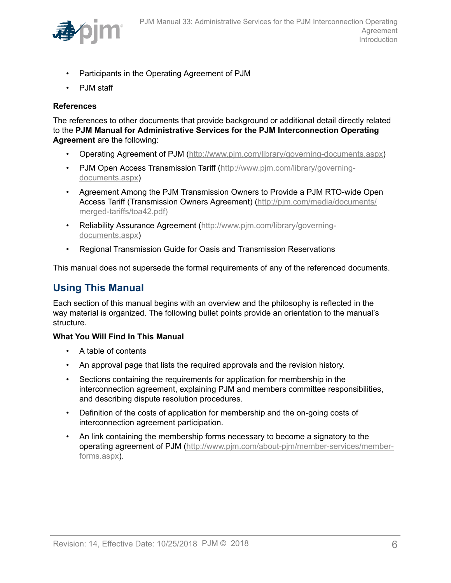

- Participants in the Operating Agreement of PJM
- PJM staff

### **References**

The references to other documents that provide background or additional detail directly related to the **PJM Manual for Administrative Services for the PJM Interconnection Operating Agreement** are the following:

- Operating Agreement of PJM (<http://www.pjm.com/library/governing-documents.aspx>)
- PJM Open Access Transmission Tariff ([http://www.pjm.com/library/governing](http://www.pjm.com/library/governing-documents.aspx)[documents.aspx\)](http://www.pjm.com/library/governing-documents.aspx)
- Agreement Among the PJM Transmission Owners to Provide a PJM RTO-wide Open Access Tariff (Transmission Owners Agreement) ([http://pjm.com/media/documents/](http://www.pjm.com/library/governing-documents.aspx) [merged-tariffs/toa42.pdf\)](http://www.pjm.com/library/governing-documents.aspx)
- Reliability Assurance Agreement [\(http://www.pjm.com/library/governing](http://www.pjm.com/library/governing-documents.aspx)[documents.aspx\)](http://www.pjm.com/library/governing-documents.aspx)
- Regional Transmission Guide for Oasis and Transmission Reservations

This manual does not supersede the formal requirements of any of the referenced documents.

# <span id="page-5-0"></span>**Using This Manual**

Each section of this manual begins with an overview and the philosophy is reflected in the way material is organized. The following bullet points provide an orientation to the manual's structure.

### **What You Will Find In This Manual**

- A table of contents
- An approval page that lists the required approvals and the revision history.
- Sections containing the requirements for application for membership in the interconnection agreement, explaining PJM and members committee responsibilities, and describing dispute resolution procedures.
- Definition of the costs of application for membership and the on-going costs of interconnection agreement participation.
- An link containing the membership forms necessary to become a signatory to the operating agreement of PJM [\(http://www.pjm.com/about-pjm/member-services/member](http://www.pjm.com/about-pjm/member-services/member-forms.aspx)[forms.aspx](http://www.pjm.com/about-pjm/member-services/member-forms.aspx)).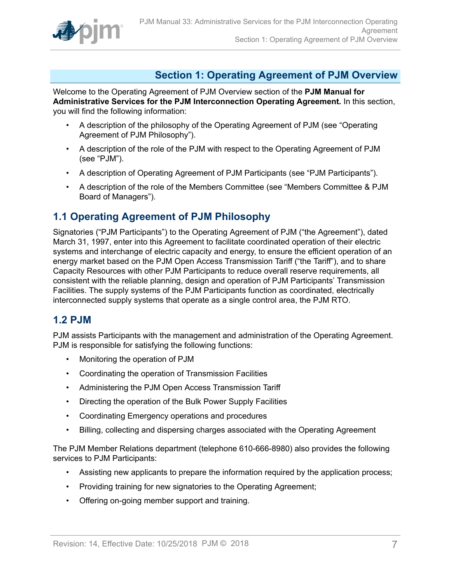

# <span id="page-6-0"></span>**Section 1: Operating Agreement of PJM Overview**

Welcome to the Operating Agreement of PJM Overview section of the **PJM Manual for Administrative Services for the PJM Interconnection Operating Agreement.** In this section, you will find the following information:

- A description of the philosophy of the Operating Agreement of PJM (see "Operating Agreement of PJM Philosophy").
- A description of the role of the PJM with respect to the Operating Agreement of PJM (see "PJM").
- A description of Operating Agreement of PJM Participants (see "PJM Participants").
- A description of the role of the Members Committee (see "Members Committee & PJM Board of Managers").

## <span id="page-6-1"></span>**1.1 Operating Agreement of PJM Philosophy**

Signatories ("PJM Participants") to the Operating Agreement of PJM ("the Agreement"), dated March 31, 1997, enter into this Agreement to facilitate coordinated operation of their electric systems and interchange of electric capacity and energy, to ensure the efficient operation of an energy market based on the PJM Open Access Transmission Tariff ("the Tariff"), and to share Capacity Resources with other PJM Participants to reduce overall reserve requirements, all consistent with the reliable planning, design and operation of PJM Participants' Transmission Facilities. The supply systems of the PJM Participants function as coordinated, electrically interconnected supply systems that operate as a single control area, the PJM RTO.

## <span id="page-6-2"></span>**1.2 PJM**

PJM assists Participants with the management and administration of the Operating Agreement. PJM is responsible for satisfying the following functions:

- Monitoring the operation of PJM
- Coordinating the operation of Transmission Facilities
- Administering the PJM Open Access Transmission Tariff
- Directing the operation of the Bulk Power Supply Facilities
- Coordinating Emergency operations and procedures
- Billing, collecting and dispersing charges associated with the Operating Agreement

The PJM Member Relations department (telephone 610-666-8980) also provides the following services to PJM Participants:

- Assisting new applicants to prepare the information required by the application process;
- Providing training for new signatories to the Operating Agreement;
- Offering on-going member support and training.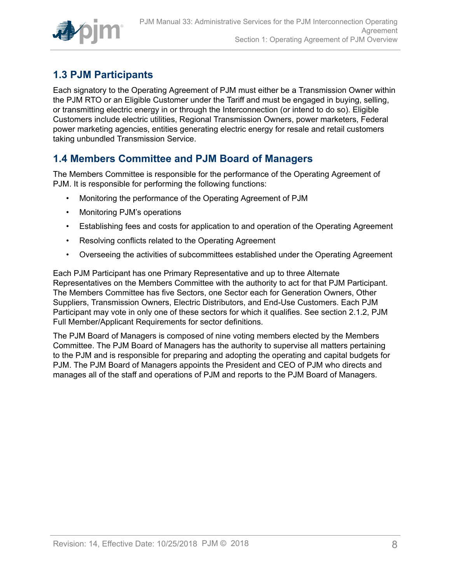

# <span id="page-7-0"></span>**1.3 PJM Participants**

Each signatory to the Operating Agreement of PJM must either be a Transmission Owner within the PJM RTO or an Eligible Customer under the Tariff and must be engaged in buying, selling, or transmitting electric energy in or through the Interconnection (or intend to do so). Eligible Customers include electric utilities, Regional Transmission Owners, power marketers, Federal power marketing agencies, entities generating electric energy for resale and retail customers taking unbundled Transmission Service.

# <span id="page-7-1"></span>**1.4 Members Committee and PJM Board of Managers**

The Members Committee is responsible for the performance of the Operating Agreement of PJM. It is responsible for performing the following functions:

- Monitoring the performance of the Operating Agreement of PJM
- Monitoring PJM's operations
- Establishing fees and costs for application to and operation of the Operating Agreement
- Resolving conflicts related to the Operating Agreement
- Overseeing the activities of subcommittees established under the Operating Agreement

Each PJM Participant has one Primary Representative and up to three Alternate Representatives on the Members Committee with the authority to act for that PJM Participant. The Members Committee has five Sectors, one Sector each for Generation Owners, Other Suppliers, Transmission Owners, Electric Distributors, and End-Use Customers. Each PJM Participant may vote in only one of these sectors for which it qualifies. See section 2.1.2, PJM Full Member/Applicant Requirements for sector definitions.

The PJM Board of Managers is composed of nine voting members elected by the Members Committee. The PJM Board of Managers has the authority to supervise all matters pertaining to the PJM and is responsible for preparing and adopting the operating and capital budgets for PJM. The PJM Board of Managers appoints the President and CEO of PJM who directs and manages all of the staff and operations of PJM and reports to the PJM Board of Managers.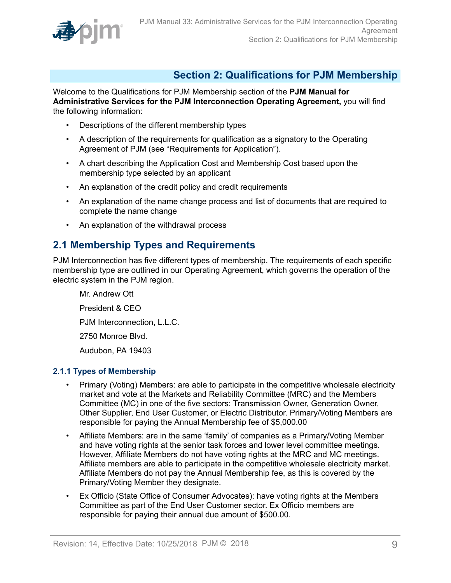

# <span id="page-8-0"></span>**Section 2: Qualifications for PJM Membership**

Welcome to the Qualifications for PJM Membership section of the **PJM Manual for Administrative Services for the PJM Interconnection Operating Agreement,** you will find the following information:

- Descriptions of the different membership types
- A description of the requirements for qualification as a signatory to the Operating Agreement of PJM (see "Requirements for Application").
- A chart describing the Application Cost and Membership Cost based upon the membership type selected by an applicant
- An explanation of the credit policy and credit requirements
- An explanation of the name change process and list of documents that are required to complete the name change
- An explanation of the withdrawal process

## <span id="page-8-1"></span>**2.1 Membership Types and Requirements**

PJM Interconnection has five different types of membership. The requirements of each specific membership type are outlined in our Operating Agreement, which governs the operation of the electric system in the PJM region.

Mr. Andrew Ott President & CEO PJM Interconnection, L.L.C. 2750 Monroe Blvd. Audubon, PA 19403

### <span id="page-8-2"></span>**2.1.1 Types of Membership**

- Primary (Voting) Members: are able to participate in the competitive wholesale electricity market and vote at the Markets and Reliability Committee (MRC) and the Members Committee (MC) in one of the five sectors: Transmission Owner, Generation Owner, Other Supplier, End User Customer, or Electric Distributor. Primary/Voting Members are responsible for paying the Annual Membership fee of \$5,000.00
- Affiliate Members: are in the same 'family' of companies as a Primary/Voting Member and have voting rights at the senior task forces and lower level committee meetings. However, Affiliate Members do not have voting rights at the MRC and MC meetings. Affiliate members are able to participate in the competitive wholesale electricity market. Affiliate Members do not pay the Annual Membership fee, as this is covered by the Primary/Voting Member they designate.
- Ex Officio (State Office of Consumer Advocates): have voting rights at the Members Committee as part of the End User Customer sector. Ex Officio members are responsible for paying their annual due amount of \$500.00.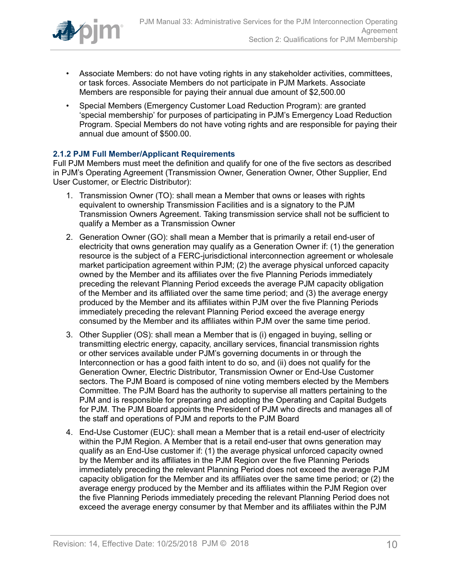

- Associate Members: do not have voting rights in any stakeholder activities, committees, or task forces. Associate Members do not participate in PJM Markets. Associate Members are responsible for paying their annual due amount of \$2,500.00
- Special Members (Emergency Customer Load Reduction Program): are granted 'special membership' for purposes of participating in PJM's Emergency Load Reduction Program. Special Members do not have voting rights and are responsible for paying their annual due amount of \$500.00.

### <span id="page-9-0"></span>**2.1.2 PJM Full Member/Applicant Requirements**

Full PJM Members must meet the definition and qualify for one of the five sectors as described in PJM's Operating Agreement (Transmission Owner, Generation Owner, Other Supplier, End User Customer, or Electric Distributor):

- 1. Transmission Owner (TO): shall mean a Member that owns or leases with rights equivalent to ownership Transmission Facilities and is a signatory to the PJM Transmission Owners Agreement. Taking transmission service shall not be sufficient to qualify a Member as a Transmission Owner
- 2. Generation Owner (GO): shall mean a Member that is primarily a retail end-user of electricity that owns generation may qualify as a Generation Owner if: (1) the generation resource is the subject of a FERC-jurisdictional interconnection agreement or wholesale market participation agreement within PJM; (2) the average physical unforced capacity owned by the Member and its affiliates over the five Planning Periods immediately preceding the relevant Planning Period exceeds the average PJM capacity obligation of the Member and its affiliated over the same time period; and (3) the average energy produced by the Member and its affiliates within PJM over the five Planning Periods immediately preceding the relevant Planning Period exceed the average energy consumed by the Member and its affiliates within PJM over the same time period.
- 3. Other Supplier (OS): shall mean a Member that is (i) engaged in buying, selling or transmitting electric energy, capacity, ancillary services, financial transmission rights or other services available under PJM's governing documents in or through the Interconnection or has a good faith intent to do so, and (ii) does not qualify for the Generation Owner, Electric Distributor, Transmission Owner or End-Use Customer sectors. The PJM Board is composed of nine voting members elected by the Members Committee. The PJM Board has the authority to supervise all matters pertaining to the PJM and is responsible for preparing and adopting the Operating and Capital Budgets for PJM. The PJM Board appoints the President of PJM who directs and manages all of the staff and operations of PJM and reports to the PJM Board
- 4. End-Use Customer (EUC): shall mean a Member that is a retail end-user of electricity within the PJM Region. A Member that is a retail end-user that owns generation may qualify as an End-Use customer if: (1) the average physical unforced capacity owned by the Member and its affiliates in the PJM Region over the five Planning Periods immediately preceding the relevant Planning Period does not exceed the average PJM capacity obligation for the Member and its affiliates over the same time period; or (2) the average energy produced by the Member and its affiliates within the PJM Region over the five Planning Periods immediately preceding the relevant Planning Period does not exceed the average energy consumer by that Member and its affiliates within the PJM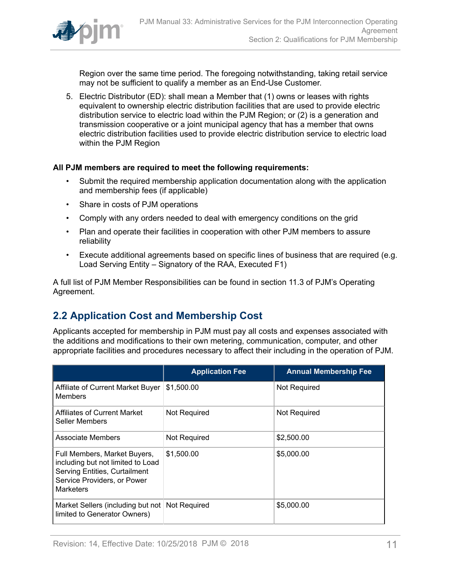

Region over the same time period. The foregoing notwithstanding, taking retail service may not be sufficient to qualify a member as an End-Use Customer.

5. Electric Distributor (ED): shall mean a Member that (1) owns or leases with rights equivalent to ownership electric distribution facilities that are used to provide electric distribution service to electric load within the PJM Region; or (2) is a generation and transmission cooperative or a joint municipal agency that has a member that owns electric distribution facilities used to provide electric distribution service to electric load within the PJM Region

### **All PJM members are required to meet the following requirements:**

- Submit the required membership application documentation along with the application and membership fees (if applicable)
- Share in costs of PJM operations
- Comply with any orders needed to deal with emergency conditions on the grid
- Plan and operate their facilities in cooperation with other PJM members to assure reliability
- Execute additional agreements based on specific lines of business that are required (e.g. Load Serving Entity – Signatory of the RAA, Executed F1)

A full list of PJM Member Responsibilities can be found in section 11.3 of PJM's Operating Agreement.

## <span id="page-10-0"></span>**2.2 Application Cost and Membership Cost**

Applicants accepted for membership in PJM must pay all costs and expenses associated with the additions and modifications to their own metering, communication, computer, and other appropriate facilities and procedures necessary to affect their including in the operation of PJM.

|                                                                                                                                                              | <b>Application Fee</b> | <b>Annual Membership Fee</b> |
|--------------------------------------------------------------------------------------------------------------------------------------------------------------|------------------------|------------------------------|
| Affiliate of Current Market Buyer<br><b>Members</b>                                                                                                          | \$1,500.00             | <b>Not Required</b>          |
| Affiliates of Current Market<br>Seller Members                                                                                                               | Not Required           | Not Required                 |
| Associate Members                                                                                                                                            | Not Required           | \$2,500.00                   |
| Full Members, Market Buyers,<br>including but not limited to Load<br><b>Serving Entities, Curtailment</b><br>Service Providers, or Power<br><b>Marketers</b> | \$1,500.00             | \$5,000.00                   |
| Market Sellers (including but not<br>limited to Generator Owners)                                                                                            | <b>Not Required</b>    | \$5,000.00                   |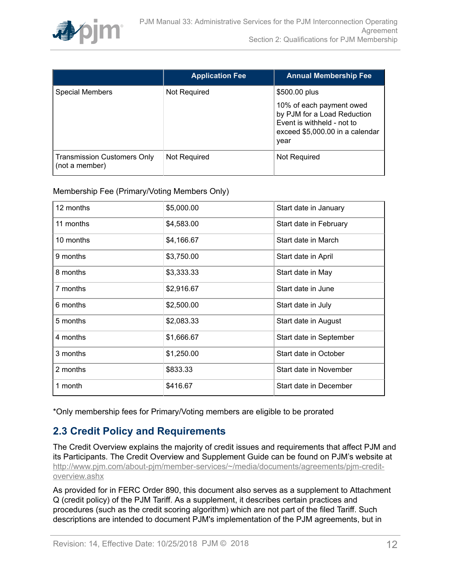

|                                                      | <b>Application Fee</b> | <b>Annual Membership Fee</b>                                                                                                     |
|------------------------------------------------------|------------------------|----------------------------------------------------------------------------------------------------------------------------------|
| <b>Special Members</b>                               | Not Required           | \$500.00 plus                                                                                                                    |
|                                                      |                        | 10% of each payment owed<br>by PJM for a Load Reduction<br>Event is withheld - not to<br>exceed \$5,000.00 in a calendar<br>year |
| <b>Transmission Customers Only</b><br>(not a member) | Not Required           | Not Required                                                                                                                     |

Membership Fee (Primary/Voting Members Only)

| 12 months | \$5,000.00 | Start date in January   |
|-----------|------------|-------------------------|
| 11 months | \$4,583.00 | Start date in February  |
| 10 months | \$4,166.67 | Start date in March     |
| 9 months  | \$3,750.00 | Start date in April     |
| 8 months  | \$3,333.33 | Start date in May       |
| 7 months  | \$2,916.67 | Start date in June      |
| 6 months  | \$2,500.00 | Start date in July      |
| 5 months  | \$2,083.33 | Start date in August    |
| 4 months  | \$1,666.67 | Start date in September |
| 3 months  | \$1,250.00 | Start date in October   |
| 2 months  | \$833.33   | Start date in November  |
| 1 month   | \$416.67   | Start date in December  |

\*Only membership fees for Primary/Voting members are eligible to be prorated

# <span id="page-11-0"></span>**2.3 Credit Policy and Requirements**

The Credit Overview explains the majority of credit issues and requirements that affect PJM and its Participants. The Credit Overview and Supplement Guide can be found on PJM's website at [http://www.pjm.com/about-pjm/member-services/~/media/documents/agreements/pjm-credit](http://www.pjm.com/about-pjm/member-services/~/media/documents/agreements/pjm-credit-overview.ashx)[overview.ashx](http://www.pjm.com/about-pjm/member-services/~/media/documents/agreements/pjm-credit-overview.ashx)

As provided for in FERC Order 890, this document also serves as a supplement to Attachment Q (credit policy) of the PJM Tariff. As a supplement, it describes certain practices and procedures (such as the credit scoring algorithm) which are not part of the filed Tariff. Such descriptions are intended to document PJM's implementation of the PJM agreements, but in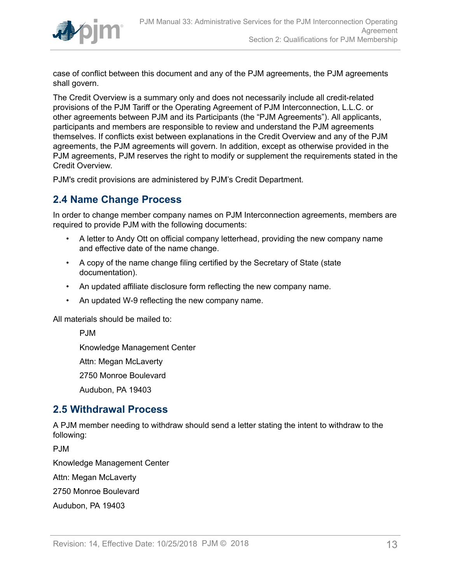

case of conflict between this document and any of the PJM agreements, the PJM agreements shall govern.

The Credit Overview is a summary only and does not necessarily include all credit-related provisions of the PJM Tariff or the Operating Agreement of PJM Interconnection, L.L.C. or other agreements between PJM and its Participants (the "PJM Agreements"). All applicants, participants and members are responsible to review and understand the PJM agreements themselves. If conflicts exist between explanations in the Credit Overview and any of the PJM agreements, the PJM agreements will govern. In addition, except as otherwise provided in the PJM agreements, PJM reserves the right to modify or supplement the requirements stated in the Credit Overview.

PJM's credit provisions are administered by PJM's Credit Department.

### <span id="page-12-0"></span>**2.4 Name Change Process**

In order to change member company names on PJM Interconnection agreements, members are required to provide PJM with the following documents:

- A letter to Andy Ott on official company letterhead, providing the new company name and effective date of the name change.
- A copy of the name change filing certified by the Secretary of State (state documentation).
- An updated affiliate disclosure form reflecting the new company name.
- An updated W-9 reflecting the new company name.

All materials should be mailed to:

PJM

Knowledge Management Center

Attn: Megan McLaverty

2750 Monroe Boulevard

Audubon, PA 19403

### <span id="page-12-1"></span>**2.5 Withdrawal Process**

A PJM member needing to withdraw should send a letter stating the intent to withdraw to the following:

P.IM

Knowledge Management Center

Attn: Megan McLaverty

2750 Monroe Boulevard

Audubon, PA 19403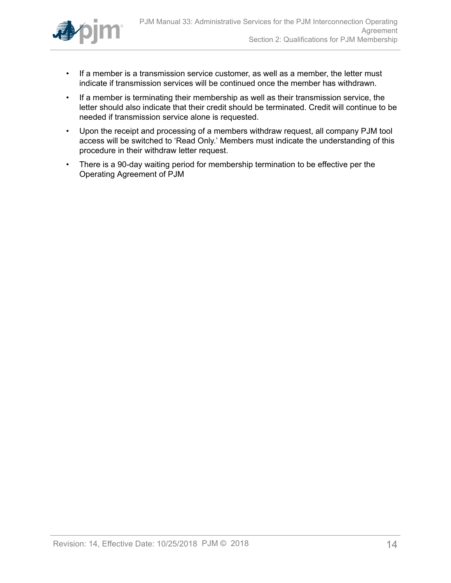

- If a member is a transmission service customer, as well as a member, the letter must indicate if transmission services will be continued once the member has withdrawn.
- If a member is terminating their membership as well as their transmission service, the letter should also indicate that their credit should be terminated. Credit will continue to be needed if transmission service alone is requested.
- Upon the receipt and processing of a members withdraw request, all company PJM tool access will be switched to 'Read Only.' Members must indicate the understanding of this procedure in their withdraw letter request.
- There is a 90-day waiting period for membership termination to be effective per the Operating Agreement of PJM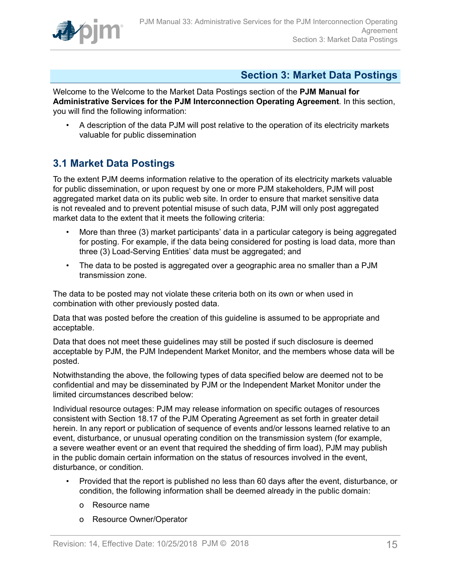

# <span id="page-14-0"></span>**Section 3: Market Data Postings**

Welcome to the Welcome to the Market Data Postings section of the **PJM Manual for Administrative Services for the PJM Interconnection Operating Agreement**. In this section, you will find the following information:

• A description of the data PJM will post relative to the operation of its electricity markets valuable for public dissemination

# <span id="page-14-1"></span>**3.1 Market Data Postings**

To the extent PJM deems information relative to the operation of its electricity markets valuable for public dissemination, or upon request by one or more PJM stakeholders, PJM will post aggregated market data on its public web site. In order to ensure that market sensitive data is not revealed and to prevent potential misuse of such data, PJM will only post aggregated market data to the extent that it meets the following criteria:

- More than three (3) market participants' data in a particular category is being aggregated for posting. For example, if the data being considered for posting is load data, more than three (3) Load-Serving Entities' data must be aggregated; and
- The data to be posted is aggregated over a geographic area no smaller than a PJM transmission zone.

The data to be posted may not violate these criteria both on its own or when used in combination with other previously posted data.

Data that was posted before the creation of this guideline is assumed to be appropriate and acceptable.

Data that does not meet these guidelines may still be posted if such disclosure is deemed acceptable by PJM, the PJM Independent Market Monitor, and the members whose data will be posted.

Notwithstanding the above, the following types of data specified below are deemed not to be confidential and may be disseminated by PJM or the Independent Market Monitor under the limited circumstances described below:

Individual resource outages: PJM may release information on specific outages of resources consistent with Section 18.17 of the PJM Operating Agreement as set forth in greater detail herein. In any report or publication of sequence of events and/or lessons learned relative to an event, disturbance, or unusual operating condition on the transmission system (for example, a severe weather event or an event that required the shedding of firm load), PJM may publish in the public domain certain information on the status of resources involved in the event, disturbance, or condition.

- Provided that the report is published no less than 60 days after the event, disturbance, or condition, the following information shall be deemed already in the public domain:
	- o Resource name
	- o Resource Owner/Operator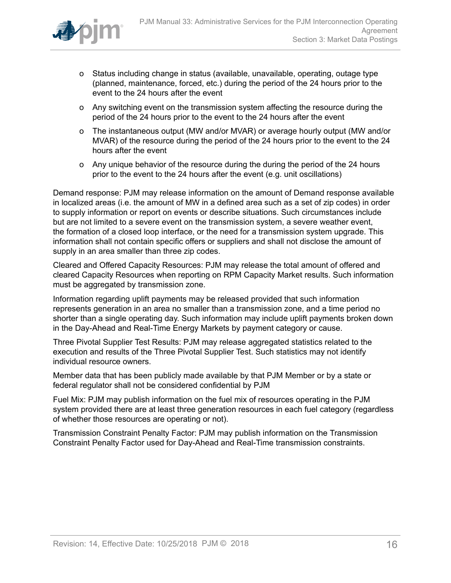

- o Status including change in status (available, unavailable, operating, outage type (planned, maintenance, forced, etc.) during the period of the 24 hours prior to the event to the 24 hours after the event
- o Any switching event on the transmission system affecting the resource during the period of the 24 hours prior to the event to the 24 hours after the event
- o The instantaneous output (MW and/or MVAR) or average hourly output (MW and/or MVAR) of the resource during the period of the 24 hours prior to the event to the 24 hours after the event
- o Any unique behavior of the resource during the during the period of the 24 hours prior to the event to the 24 hours after the event (e.g. unit oscillations)

Demand response: PJM may release information on the amount of Demand response available in localized areas (i.e. the amount of MW in a defined area such as a set of zip codes) in order to supply information or report on events or describe situations. Such circumstances include but are not limited to a severe event on the transmission system, a severe weather event, the formation of a closed loop interface, or the need for a transmission system upgrade. This information shall not contain specific offers or suppliers and shall not disclose the amount of supply in an area smaller than three zip codes.

Cleared and Offered Capacity Resources: PJM may release the total amount of offered and cleared Capacity Resources when reporting on RPM Capacity Market results. Such information must be aggregated by transmission zone.

Information regarding uplift payments may be released provided that such information represents generation in an area no smaller than a transmission zone, and a time period no shorter than a single operating day. Such information may include uplift payments broken down in the Day-Ahead and Real-Time Energy Markets by payment category or cause.

Three Pivotal Supplier Test Results: PJM may release aggregated statistics related to the execution and results of the Three Pivotal Supplier Test. Such statistics may not identify individual resource owners.

Member data that has been publicly made available by that PJM Member or by a state or federal regulator shall not be considered confidential by PJM

Fuel Mix: PJM may publish information on the fuel mix of resources operating in the PJM system provided there are at least three generation resources in each fuel category (regardless of whether those resources are operating or not).

Transmission Constraint Penalty Factor: PJM may publish information on the Transmission Constraint Penalty Factor used for Day-Ahead and Real-Time transmission constraints.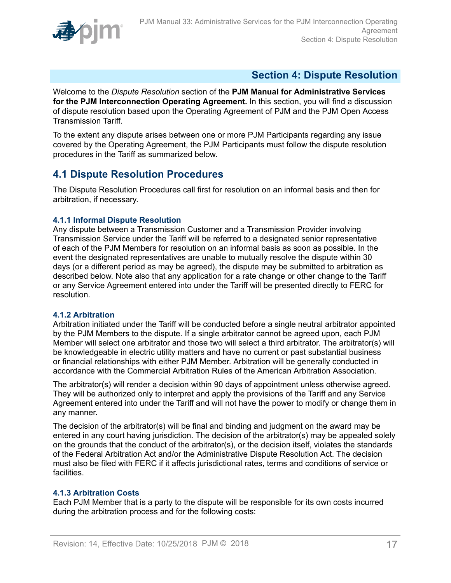

# <span id="page-16-0"></span>**Section 4: Dispute Resolution**

Welcome to the *Dispute Resolution* section of the **PJM Manual for Administrative Services for the PJM Interconnection Operating Agreement.** In this section, you will find a discussion of dispute resolution based upon the Operating Agreement of PJM and the PJM Open Access Transmission Tariff.

To the extent any dispute arises between one or more PJM Participants regarding any issue covered by the Operating Agreement, the PJM Participants must follow the dispute resolution procedures in the Tariff as summarized below.

# <span id="page-16-1"></span>**4.1 Dispute Resolution Procedures**

The Dispute Resolution Procedures call first for resolution on an informal basis and then for arbitration, if necessary.

### <span id="page-16-2"></span>**4.1.1 Informal Dispute Resolution**

Any dispute between a Transmission Customer and a Transmission Provider involving Transmission Service under the Tariff will be referred to a designated senior representative of each of the PJM Members for resolution on an informal basis as soon as possible. In the event the designated representatives are unable to mutually resolve the dispute within 30 days (or a different period as may be agreed), the dispute may be submitted to arbitration as described below. Note also that any application for a rate change or other change to the Tariff or any Service Agreement entered into under the Tariff will be presented directly to FERC for resolution.

### <span id="page-16-3"></span>**4.1.2 Arbitration**

Arbitration initiated under the Tariff will be conducted before a single neutral arbitrator appointed by the PJM Members to the dispute. If a single arbitrator cannot be agreed upon, each PJM Member will select one arbitrator and those two will select a third arbitrator. The arbitrator(s) will be knowledgeable in electric utility matters and have no current or past substantial business or financial relationships with either PJM Member. Arbitration will be generally conducted in accordance with the Commercial Arbitration Rules of the American Arbitration Association.

The arbitrator(s) will render a decision within 90 days of appointment unless otherwise agreed. They will be authorized only to interpret and apply the provisions of the Tariff and any Service Agreement entered into under the Tariff and will not have the power to modify or change them in any manner.

The decision of the arbitrator(s) will be final and binding and judgment on the award may be entered in any court having jurisdiction. The decision of the arbitrator(s) may be appealed solely on the grounds that the conduct of the arbitrator(s), or the decision itself, violates the standards of the Federal Arbitration Act and/or the Administrative Dispute Resolution Act. The decision must also be filed with FERC if it affects jurisdictional rates, terms and conditions of service or facilities.

### <span id="page-16-4"></span>**4.1.3 Arbitration Costs**

Each PJM Member that is a party to the dispute will be responsible for its own costs incurred during the arbitration process and for the following costs: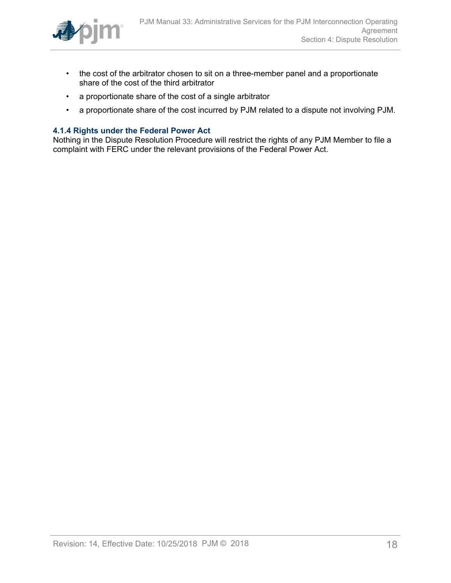

- the cost of the arbitrator chosen to sit on a three-member panel and a proportionate share of the cost of the third arbitrator
- a proportionate share of the cost of a single arbitrator
- a proportionate share of the cost incurred by PJM related to a dispute not involving PJM.

#### <span id="page-17-0"></span>**4.1.4 Rights under the Federal Power Act**

Nothing in the Dispute Resolution Procedure will restrict the rights of any PJM Member to file a complaint with FERC under the relevant provisions of the Federal Power Act.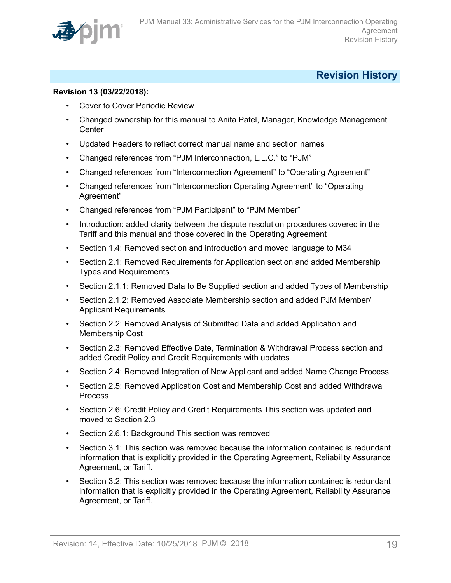

# <span id="page-18-0"></span>**Revision History**

### **Revision 13 (03/22/2018):**

- Cover to Cover Periodic Review
- Changed ownership for this manual to Anita Patel, Manager, Knowledge Management **Center**
- Updated Headers to reflect correct manual name and section names
- Changed references from "PJM Interconnection, L.L.C." to "PJM"
- Changed references from "Interconnection Agreement" to "Operating Agreement"
- Changed references from "Interconnection Operating Agreement" to "Operating Agreement"
- Changed references from "PJM Participant" to "PJM Member"
- Introduction: added clarity between the dispute resolution procedures covered in the Tariff and this manual and those covered in the Operating Agreement
- Section 1.4: Removed section and introduction and moved language to M34
- Section 2.1: Removed Requirements for Application section and added Membership Types and Requirements
- Section 2.1.1: Removed Data to Be Supplied section and added Types of Membership
- Section 2.1.2: Removed Associate Membership section and added PJM Member/ Applicant Requirements
- Section 2.2: Removed Analysis of Submitted Data and added Application and Membership Cost
- Section 2.3: Removed Effective Date, Termination & Withdrawal Process section and added Credit Policy and Credit Requirements with updates
- Section 2.4: Removed Integration of New Applicant and added Name Change Process
- Section 2.5: Removed Application Cost and Membership Cost and added Withdrawal Process
- Section 2.6: Credit Policy and Credit Requirements This section was updated and moved to Section 2.3
- Section 2.6.1: Background This section was removed
- Section 3.1: This section was removed because the information contained is redundant information that is explicitly provided in the Operating Agreement, Reliability Assurance Agreement, or Tariff.
- Section 3.2: This section was removed because the information contained is redundant information that is explicitly provided in the Operating Agreement, Reliability Assurance Agreement, or Tariff.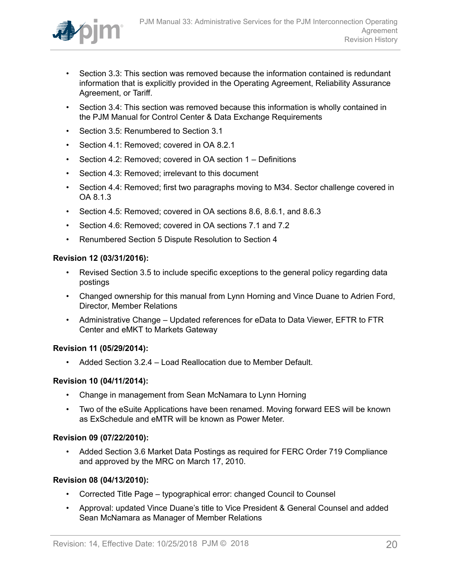

- Section 3.3: This section was removed because the information contained is redundant information that is explicitly provided in the Operating Agreement, Reliability Assurance Agreement, or Tariff.
- Section 3.4: This section was removed because this information is wholly contained in the PJM Manual for Control Center & Data Exchange Requirements
- Section 3.5: Renumbered to Section 3.1
- Section 4.1: Removed; covered in OA 8.2.1
- Section 4.2: Removed; covered in OA section 1 Definitions
- Section 4.3: Removed: irrelevant to this document
- Section 4.4: Removed; first two paragraphs moving to M34. Sector challenge covered in OA 8.1.3
- Section 4.5: Removed; covered in OA sections 8.6, 8.6.1, and 8.6.3
- Section 4.6: Removed; covered in OA sections 7.1 and 7.2
- Renumbered Section 5 Dispute Resolution to Section 4

#### **Revision 12 (03/31/2016):**

- Revised Section 3.5 to include specific exceptions to the general policy regarding data postings
- Changed ownership for this manual from Lynn Horning and Vince Duane to Adrien Ford, Director, Member Relations
- Administrative Change Updated references for eData to Data Viewer, EFTR to FTR Center and eMKT to Markets Gateway

#### **Revision 11 (05/29/2014):**

• Added Section 3.2.4 – Load Reallocation due to Member Default.

### **Revision 10 (04/11/2014):**

- Change in management from Sean McNamara to Lynn Horning
- Two of the eSuite Applications have been renamed. Moving forward EES will be known as ExSchedule and eMTR will be known as Power Meter.

#### **Revision 09 (07/22/2010):**

• Added Section 3.6 Market Data Postings as required for FERC Order 719 Compliance and approved by the MRC on March 17, 2010.

### **Revision 08 (04/13/2010):**

- Corrected Title Page typographical error: changed Council to Counsel
- Approval: updated Vince Duane's title to Vice President & General Counsel and added Sean McNamara as Manager of Member Relations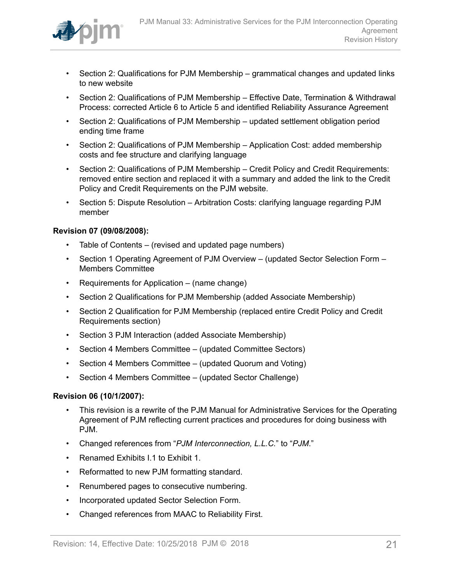

- Section 2: Qualifications for PJM Membership grammatical changes and updated links to new website
- Section 2: Qualifications of PJM Membership Effective Date, Termination & Withdrawal Process: corrected Article 6 to Article 5 and identified Reliability Assurance Agreement
- Section 2: Qualifications of PJM Membership updated settlement obligation period ending time frame
- Section 2: Qualifications of PJM Membership Application Cost: added membership costs and fee structure and clarifying language
- Section 2: Qualifications of PJM Membership Credit Policy and Credit Requirements: removed entire section and replaced it with a summary and added the link to the Credit Policy and Credit Requirements on the PJM website.
- Section 5: Dispute Resolution Arbitration Costs: clarifying language regarding PJM member

### **Revision 07 (09/08/2008):**

- Table of Contents (revised and updated page numbers)
- Section 1 Operating Agreement of PJM Overview (updated Sector Selection Form Members Committee
- Requirements for Application (name change)
- Section 2 Qualifications for PJM Membership (added Associate Membership)
- Section 2 Qualification for PJM Membership (replaced entire Credit Policy and Credit Requirements section)
- Section 3 PJM Interaction (added Associate Membership)
- Section 4 Members Committee (updated Committee Sectors)
- Section 4 Members Committee (updated Quorum and Voting)
- Section 4 Members Committee (updated Sector Challenge)

#### **Revision 06 (10/1/2007):**

- This revision is a rewrite of the PJM Manual for Administrative Services for the Operating Agreement of PJM reflecting current practices and procedures for doing business with PJM.
- Changed references from "*PJM Interconnection, L.L.C.*" to "*PJM*."
- Renamed Exhibits I.1 to Exhibit 1.
- Reformatted to new PJM formatting standard.
- Renumbered pages to consecutive numbering.
- Incorporated updated Sector Selection Form.
- Changed references from MAAC to Reliability First.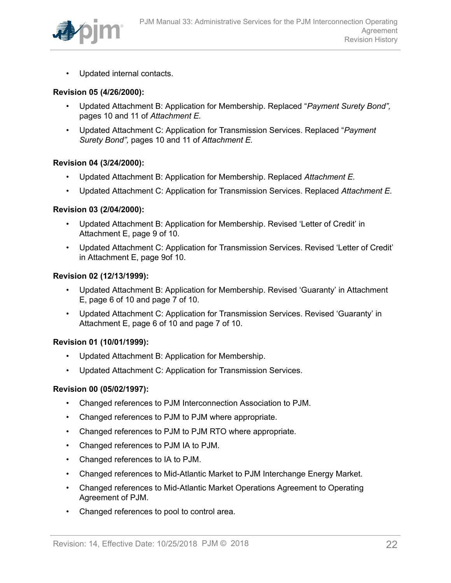

• Updated internal contacts.

#### **Revision 05 (4/26/2000):**

- Updated Attachment B: Application for Membership. Replaced "*Payment Surety Bond",* pages 10 and 11 of *Attachment E.*
- Updated Attachment C: Application for Transmission Services. Replaced "*Payment Surety Bond",* pages 10 and 11 of *Attachment E.*

#### **Revision 04 (3/24/2000):**

- Updated Attachment B: Application for Membership. Replaced *Attachment E.*
- Updated Attachment C: Application for Transmission Services. Replaced *Attachment E.*

#### **Revision 03 (2/04/2000):**

- Updated Attachment B: Application for Membership. Revised 'Letter of Credit' in Attachment E, page 9 of 10.
- Updated Attachment C: Application for Transmission Services. Revised 'Letter of Credit' in Attachment E, page 9of 10.

#### **Revision 02 (12/13/1999):**

- Updated Attachment B: Application for Membership. Revised 'Guaranty' in Attachment E, page 6 of 10 and page 7 of 10.
- Updated Attachment C: Application for Transmission Services. Revised 'Guaranty' in Attachment E, page 6 of 10 and page 7 of 10.

#### **Revision 01 (10/01/1999):**

- Updated Attachment B: Application for Membership.
- Updated Attachment C: Application for Transmission Services.

#### **Revision 00 (05/02/1997):**

- Changed references to PJM Interconnection Association to PJM.
- Changed references to PJM to PJM where appropriate.
- Changed references to PJM to PJM RTO where appropriate.
- Changed references to PJM IA to PJM.
- Changed references to IA to PJM.
- Changed references to Mid-Atlantic Market to PJM Interchange Energy Market.
- Changed references to Mid-Atlantic Market Operations Agreement to Operating Agreement of PJM.
- Changed references to pool to control area.